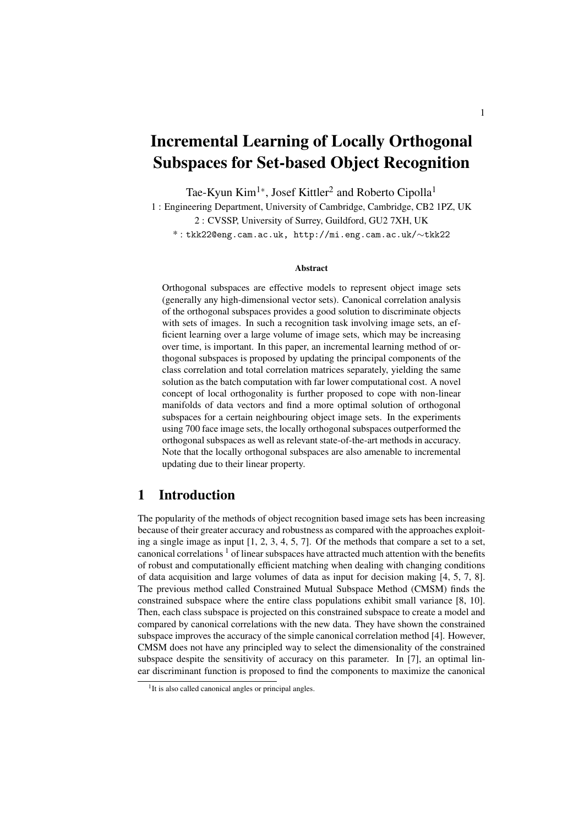# Incremental Learning of Locally Orthogonal Subspaces for Set-based Object Recognition

Tae-Kyun Kim<sup>1</sup><sup>∗</sup>, Josef Kittler<sup>2</sup> and Roberto Cipolla<sup>1</sup>

1 : Engineering Department, University of Cambridge, Cambridge, CB2 1PZ, UK 2 : CVSSP, University of Surrey, Guildford, GU2 7XH, UK \* : tkk22@eng.cam.ac.uk, http://mi.eng.cam.ac.uk/∼tkk22

#### **Abstract**

Orthogonal subspaces are effective models to represent object image sets (generally any high-dimensional vector sets). Canonical correlation analysis of the orthogonal subspaces provides a good solution to discriminate objects with sets of images. In such a recognition task involving image sets, an efficient learning over a large volume of image sets, which may be increasing over time, is important. In this paper, an incremental learning method of orthogonal subspaces is proposed by updating the principal components of the class correlation and total correlation matrices separately, yielding the same solution as the batch computation with far lower computational cost. A novel concept of local orthogonality is further proposed to cope with non-linear manifolds of data vectors and find a more optimal solution of orthogonal subspaces for a certain neighbouring object image sets. In the experiments using 700 face image sets, the locally orthogonal subspaces outperformed the orthogonal subspaces as well as relevant state-of-the-art methods in accuracy. Note that the locally orthogonal subspaces are also amenable to incremental updating due to their linear property.

## 1 Introduction

The popularity of the methods of object recognition based image sets has been increasing because of their greater accuracy and robustness as compared with the approaches exploiting a single image as input  $[1, 2, 3, 4, 5, 7]$ . Of the methods that compare a set to a set, canonical correlations  $\frac{1}{1}$  of linear subspaces have attracted much attention with the benefits of robust and computationally efficient matching when dealing with changing conditions of data acquisition and large volumes of data as input for decision making [4, 5, 7, 8]. The previous method called Constrained Mutual Subspace Method (CMSM) finds the constrained subspace where the entire class populations exhibit small variance [8, 10]. Then, each class subspace is projected on this constrained subspace to create a model and compared by canonical correlations with the new data. They have shown the constrained subspace improves the accuracy of the simple canonical correlation method [4]. However, CMSM does not have any principled way to select the dimensionality of the constrained subspace despite the sensitivity of accuracy on this parameter. In [7], an optimal linear discriminant function is proposed to find the components to maximize the canonical

<sup>&</sup>lt;sup>1</sup>It is also called canonical angles or principal angles.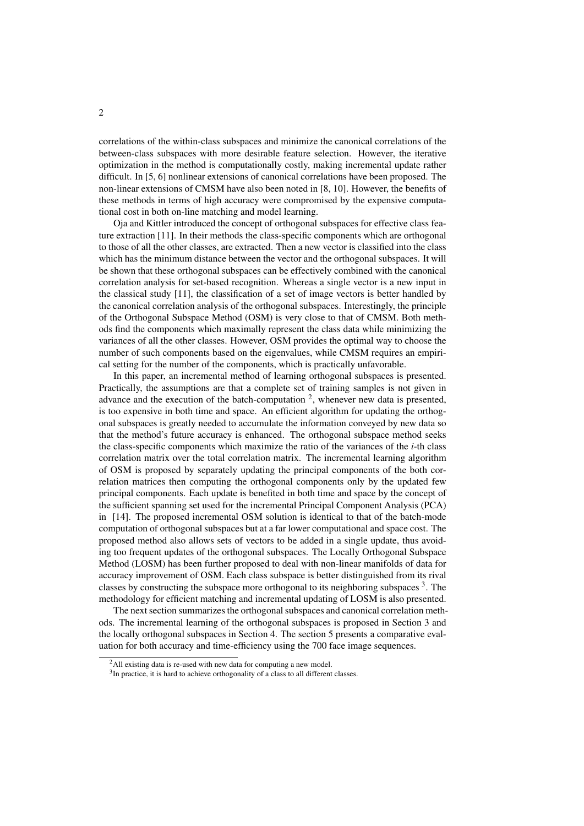correlations of the within-class subspaces and minimize the canonical correlations of the between-class subspaces with more desirable feature selection. However, the iterative optimization in the method is computationally costly, making incremental update rather difficult. In [5, 6] nonlinear extensions of canonical correlations have been proposed. The non-linear extensions of CMSM have also been noted in [8, 10]. However, the benefits of these methods in terms of high accuracy were compromised by the expensive computational cost in both on-line matching and model learning.

Oja and Kittler introduced the concept of orthogonal subspaces for effective class feature extraction [11]. In their methods the class-specific components which are orthogonal to those of all the other classes, are extracted. Then a new vector is classified into the class which has the minimum distance between the vector and the orthogonal subspaces. It will be shown that these orthogonal subspaces can be effectively combined with the canonical correlation analysis for set-based recognition. Whereas a single vector is a new input in the classical study [11], the classification of a set of image vectors is better handled by the canonical correlation analysis of the orthogonal subspaces. Interestingly, the principle of the Orthogonal Subspace Method (OSM) is very close to that of CMSM. Both methods find the components which maximally represent the class data while minimizing the variances of all the other classes. However, OSM provides the optimal way to choose the number of such components based on the eigenvalues, while CMSM requires an empirical setting for the number of the components, which is practically unfavorable.

In this paper, an incremental method of learning orthogonal subspaces is presented. Practically, the assumptions are that a complete set of training samples is not given in advance and the execution of the batch-computation  $2$ , whenever new data is presented, is too expensive in both time and space. An efficient algorithm for updating the orthogonal subspaces is greatly needed to accumulate the information conveyed by new data so that the method's future accuracy is enhanced. The orthogonal subspace method seeks the class-specific components which maximize the ratio of the variances of the *i*-th class correlation matrix over the total correlation matrix. The incremental learning algorithm of OSM is proposed by separately updating the principal components of the both correlation matrices then computing the orthogonal components only by the updated few principal components. Each update is benefited in both time and space by the concept of the sufficient spanning set used for the incremental Principal Component Analysis (PCA) in [14]. The proposed incremental OSM solution is identical to that of the batch-mode computation of orthogonal subspaces but at a far lower computational and space cost. The proposed method also allows sets of vectors to be added in a single update, thus avoiding too frequent updates of the orthogonal subspaces. The Locally Orthogonal Subspace Method (LOSM) has been further proposed to deal with non-linear manifolds of data for accuracy improvement of OSM. Each class subspace is better distinguished from its rival classes by constructing the subspace more orthogonal to its neighboring subspaces  $3$ . The methodology for efficient matching and incremental updating of LOSM is also presented.

The next section summarizes the orthogonal subspaces and canonical correlation methods. The incremental learning of the orthogonal subspaces is proposed in Section 3 and the locally orthogonal subspaces in Section 4. The section 5 presents a comparative evaluation for both accuracy and time-efficiency using the 700 face image sequences.

<sup>&</sup>lt;sup>2</sup>All existing data is re-used with new data for computing a new model.

<sup>&</sup>lt;sup>3</sup>In practice, it is hard to achieve orthogonality of a class to all different classes.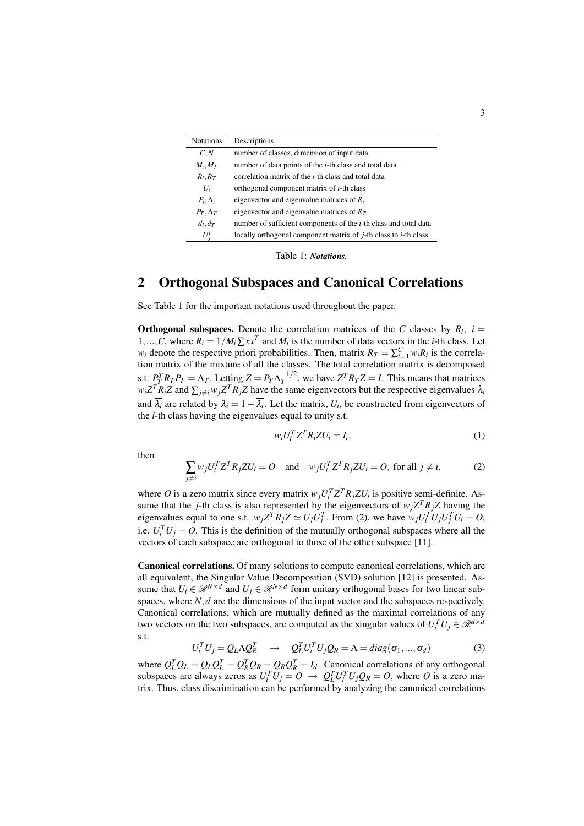| <b>Notations</b> | Descriptions                                                                    |
|------------------|---------------------------------------------------------------------------------|
| C, N             | number of classes, dimension of input data                                      |
| $M_i, M_T$       | number of data points of the <i>i</i> -th class and total data                  |
| $R_i, R_T$       | correlation matrix of the <i>i</i> -th class and total data                     |
| $U_i$            | orthogonal component matrix of <i>i</i> -th class                               |
| $P_i, \Lambda_i$ | eigenvector and eigenvalue matrices of $R_i$                                    |
| $P_T, \Lambda_T$ | eigenvector and eigenvalue matrices of $R_T$                                    |
| $d_i, d_T$       | number of sufficient components of the <i>i</i> -th class and total data        |
| $U_i^i$          | locally orthogonal component matrix of <i>j</i> -th class to <i>i</i> -th class |

Table 1: *Notations.*

# 2 Orthogonal Subspaces and Canonical Correlations

See Table 1 for the important notations used throughout the paper.

**Orthogonal subspaces.** Denote the correlation matrices of the *C* classes by  $R_i$ ,  $i =$ 1,...,*C*, where  $R_i = 1/M_i \sum x x^T$  and  $M_i$  is the number of data vectors in the *i*-th class. Let *w*<sub>*i*</sub> denote the respective priori probabilities. Then, matrix  $R_T = \sum_{i=1}^{C} w_i R_i$  is the correlation matrix of the mixture of all the classes. The total correlation matrix is decomposed s.t.  $P_T^T R_T P_T = \Lambda_T$ . Letting  $Z = P_T \Lambda_T^{-1/2}$  $T^{1/2}$ , we have  $Z^{T}R_{T}Z = I$ . This means that matrices  $w_i Z^T R_i Z$  and  $\sum_{j \neq i} w_j Z^T R_j Z$  have the same eigenvectors but the respective eigenvalues  $\lambda_i$ and  $\lambda_i$  are related by  $\lambda_i = 1 - \lambda_i$ . Let the matrix,  $U_i$ , be constructed from eigenvectors of the *i*-th class having the eigenvalues equal to unity s.t.

$$
w_i U_i^T Z^T R_i Z U_i = I_i,\tag{1}
$$

then

$$
\sum_{j \neq i} w_j U_i^T Z^T R_j Z U_i = O \quad \text{and} \quad w_j U_i^T Z^T R_j Z U_i = O, \text{ for all } j \neq i,
$$
 (2)

where *O* is a zero matrix since every matrix  $w_j U_i^T Z^T R_j Z U_i$  is positive semi-definite. Assume that the *j*-th class is also represented by the eigenvectors of  $w_j Z^T R_j Z$  having the eigenvalues equal to one s.t.  $w_j Z^T R_j Z \simeq U_j U_j^T$ . From (2), we have  $w_j U_i^T U_j U_j^T U_i = O$ , i.e.  $U_i^T U_j = O$ . This is the definition of the mutually orthogonal subspaces where all the vectors of each subspace are orthogonal to those of the other subspace [11].

Canonical correlations. Of many solutions to compute canonical correlations, which are all equivalent, the Singular Value Decomposition (SVD) solution [12] is presented. Assume that  $U_i \in \mathcal{R}^{N \times d}$  and  $U_j \in \mathcal{R}^{N \times d}$  form unitary orthogonal bases for two linear subspaces, where *N*,*d* are the dimensions of the input vector and the subspaces respectively. Canonical correlations, which are mutually defined as the maximal correlations of any two vectors on the two subspaces, are computed as the singular values of  $U_i^T U_j \in \mathcal{R}^{d \times d}$ s.t.

$$
U_i^T U_j = Q_L \Lambda Q_R^T \quad \to \quad Q_L^T U_i^T U_j Q_R = \Lambda = diag(\sigma_1, ..., \sigma_d)
$$
 (3)

where  $Q_L^T Q_L = Q_L Q_L^T = Q_R^T Q_R = Q_R Q_R^T = I_d$ . Canonical correlations of any orthogonal subspaces are always zeros as  $U_i^T U_j = O \rightarrow Q_L^T U_i^T U_j Q_R = O$ , where *O* is a zero matrix. Thus, class discrimination can be performed by analyzing the canonical correlations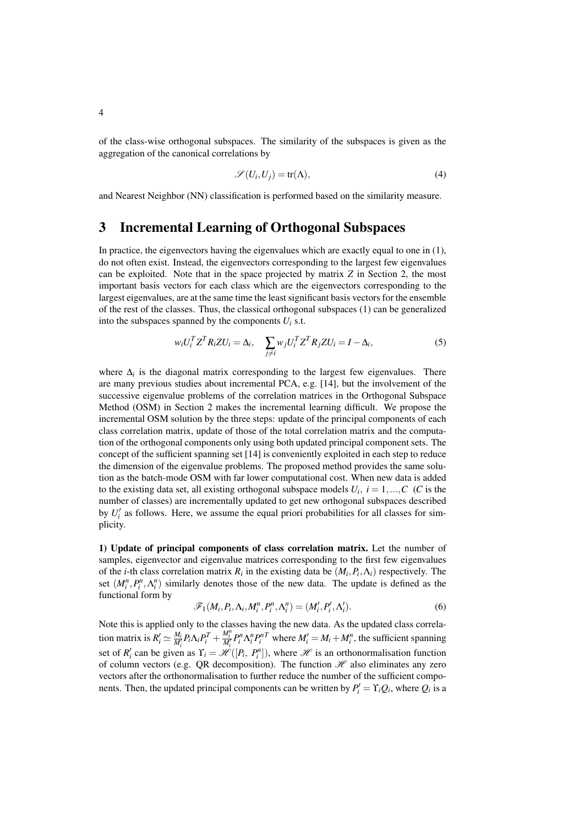of the class-wise orthogonal subspaces. The similarity of the subspaces is given as the aggregation of the canonical correlations by

$$
\mathscr{S}(U_i, U_j) = \text{tr}(\Lambda),\tag{4}
$$

and Nearest Neighbor (NN) classification is performed based on the similarity measure.

## 3 Incremental Learning of Orthogonal Subspaces

In practice, the eigenvectors having the eigenvalues which are exactly equal to one in (1), do not often exist. Instead, the eigenvectors corresponding to the largest few eigenvalues can be exploited. Note that in the space projected by matrix *Z* in Section 2, the most important basis vectors for each class which are the eigenvectors corresponding to the largest eigenvalues, are at the same time the least significant basis vectors for the ensemble of the rest of the classes. Thus, the classical orthogonal subspaces (1) can be generalized into the subspaces spanned by the components  $U_i$  s.t.

$$
w_i U_i^T Z^T R_i Z U_i = \Delta_i, \quad \sum_{j \neq i} w_j U_i^T Z^T R_j Z U_i = I - \Delta_i,
$$
\n<sup>(5)</sup>

where Δ<sub>i</sub> is the diagonal matrix corresponding to the largest few eigenvalues. There are many previous studies about incremental PCA, e.g. [14], but the involvement of the successive eigenvalue problems of the correlation matrices in the Orthogonal Subspace Method (OSM) in Section 2 makes the incremental learning difficult. We propose the incremental OSM solution by the three steps: update of the principal components of each class correlation matrix, update of those of the total correlation matrix and the computation of the orthogonal components only using both updated principal component sets. The concept of the sufficient spanning set [14] is conveniently exploited in each step to reduce the dimension of the eigenvalue problems. The proposed method provides the same solution as the batch-mode OSM with far lower computational cost. When new data is added to the existing data set, all existing orthogonal subspace models  $U_i$ ,  $i = 1, ..., C$  (*C* is the number of classes) are incrementally updated to get new orthogonal subspaces described by  $U_i'$  as follows. Here, we assume the equal priori probabilities for all classes for simplicity.

1) Update of principal components of class correlation matrix. Let the number of samples, eigenvector and eigenvalue matrices corresponding to the first few eigenvalues of the *i*-th class correlation matrix  $R_i$  in the existing data be  $(M_i, P_i, \Lambda_i)$  respectively. The set  $(M_i^n, P_i^n, \Lambda_i^n)$  similarly denotes those of the new data. The update is defined as the functional form by

$$
\mathscr{F}_1(M_i, P_i, \Lambda_i, M_i^n, P_i^n, \Lambda_i^n) = (M_i', P_i', \Lambda_i').
$$
\n<sup>(6)</sup>

Note this is applied only to the classes having the new data. As the updated class correlation matrix is  $R'_i \simeq \frac{M_i}{M'_i} P_i \Lambda_i P_i^T + \frac{M_i^n}{M'_i} P_i^n \Lambda_i^n P_i^{nT}$  where  $M'_i = M_i + M_i^n$ , the sufficient spanning set of  $R'_i$  can be given as  $\Upsilon_i = \mathcal{H}([P_i, P_i^n])$ , where  $\mathcal{H}$  is an orthonormalisation function of column vectors (e.g. QR decomposition). The function  $\mathcal H$  also eliminates any zero vectors after the orthonormalisation to further reduce the number of the sufficient components. Then, the updated principal components can be written by  $P'_i = \Upsilon_i Q_i$ , where  $Q_i$  is a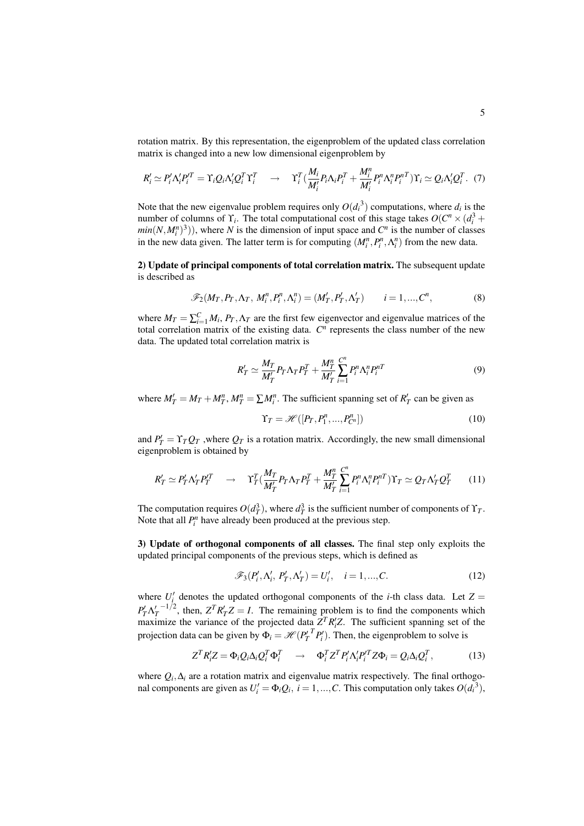rotation matrix. By this representation, the eigenproblem of the updated class correlation matrix is changed into a new low dimensional eigenproblem by

$$
R'_i \simeq P'_i \Lambda'_i P'^T_i = \Upsilon_i Q_i \Lambda'_i Q^T_i \Upsilon^T_i \quad \rightarrow \quad \Upsilon^T_i \left( \frac{M_i}{M'_i} P_i \Lambda_i P^T_i + \frac{M^n_i}{M'_i} P^n_i \Lambda^n_i P^{nT}_i \right) \Upsilon_i \simeq Q_i \Lambda'_i Q^T_i. \tag{7}
$$

Note that the new eigenvalue problem requires only  $O(d_i^3)$  computations, where  $d_i$  is the number of columns of  $\Upsilon_i$ . The total computational cost of this stage takes  $O(C^n \times (d_i^3 +$  $min(N, M_i^n)^3)$ , where *N* is the dimension of input space and *C*<sup>*n*</sup> is the number of classes in the new data given. The latter term is for computing  $(M_i^n, P_i^n, \Lambda_i^n)$  from the new data.

2) Update of principal components of total correlation matrix. The subsequent update is described as

$$
\mathscr{F}_2(M_T, P_T, \Lambda_T, M_i^n, P_i^n, \Lambda_i^n) = (M'_T, P'_T, \Lambda'_T) \qquad i = 1, \dots, C^n,
$$
\n
$$
(8)
$$

where  $M_T = \sum_{i=1}^{C} M_i$ ,  $P_T, \Lambda_T$  are the first few eigenvector and eigenvalue matrices of the total correlation matrix of the existing data.  $C<sup>n</sup>$  represents the class number of the new data. The updated total correlation matrix is

$$
R'_T \simeq \frac{M_T}{M'_T} P_T \Lambda_T P_T^T + \frac{M_T^n}{M'_T} \sum_{i=1}^{C^n} P_i^n \Lambda_i^n P_i^{nT}
$$
\n
$$
\tag{9}
$$

where  $M'_T = M_T + M_T^n$ ,  $M_T^n = \sum M_i^n$ . The sufficient spanning set of  $R'_T$  can be given as

$$
\Upsilon_T = \mathcal{H}([P_T, P_1^n, \dots, P_{C^n}^n])
$$
\n(10)

and  $P'_T = \Upsilon_T Q_T$ , where  $Q_T$  is a rotation matrix. Accordingly, the new small dimensional eigenproblem is obtained by

$$
R'_T \simeq P'_T \Lambda'_T P'^T_T \quad \to \quad \Upsilon^T_T (\frac{M_T}{M'_T} P_T \Lambda_T P^T_T + \frac{M^n_T}{M'_T} \sum_{i=1}^{C^n} P^n_i \Lambda^n_i P^{nT}_i) \Upsilon_T \simeq Q_T \Lambda'_T Q^T_T \tag{11}
$$

The computation requires  $O(d_T^3)$ , where  $d_T^3$  is the sufficient number of components of  $\Upsilon_T$ . Note that all  $P_i^n$  have already been produced at the previous step.

3) Update of orthogonal components of all classes. The final step only exploits the updated principal components of the previous steps, which is defined as

$$
\mathscr{F}_3(P'_i, \Lambda'_i, P'_T, \Lambda'_T) = U'_i, \quad i = 1, ..., C.
$$
 (12)

where  $U_i'$  denotes the updated orthogonal components of the *i*-th class data. Let  $Z =$  $P'_T \Lambda_T^{\prime -1/2}$ , then,  $Z^T R'_T Z = I$ . The remaining problem is to find the components which maximize the variance of the projected data  $Z^T R_i Z$ . The sufficient spanning set of the projection data can be given by  $\Phi_i = \mathcal{H}(P_T^{T} P_i^{T})$ . Then, the eigenproblem to solve is

$$
Z^T R_i' Z = \Phi_i Q_i \Delta_i Q_i^T \Phi_i^T \quad \rightarrow \quad \Phi_i^T Z^T P_i' \Delta_i' P_i^T Z \Phi_i = Q_i \Delta_i Q_i^T, \tag{13}
$$

where  $Q_i, \Delta_i$  are a rotation matrix and eigenvalue matrix respectively. The final orthogonal components are given as  $U_i' = \Phi_i Q_i$ ,  $i = 1, ..., C$ . This computation only takes  $O(d_i^{3})$ ,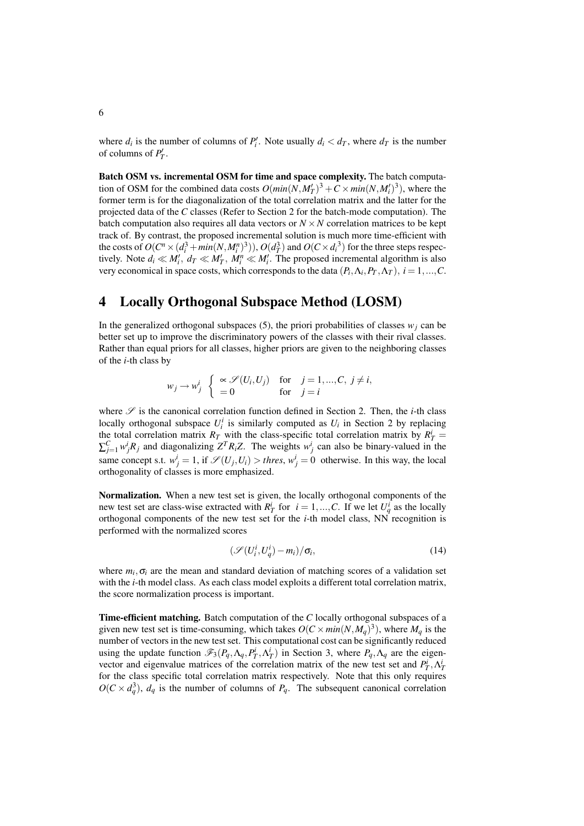where  $d_i$  is the number of columns of  $P'_i$ . Note usually  $d_i < d_T$ , where  $d_T$  is the number of columns of  $P'_T$ .

Batch OSM vs. incremental OSM for time and space complexity. The batch computation of OSM for the combined data costs  $O(min(N, M_T')^3 + C \times min(N, M_t')^3)$ , where the former term is for the diagonalization of the total correlation matrix and the latter for the projected data of the *C* classes (Refer to Section 2 for the batch-mode computation). The batch computation also requires all data vectors or  $N \times N$  correlation matrices to be kept track of. By contrast, the proposed incremental solution is much more time-efficient with the costs of  $O(C^n \times (d_i^3 + min(N, M_i^n)^3))$ ,  $O(d_T^3)$  and  $O(C \times d_i^3)$  for the three steps respectively. Note  $d_i \ll M'_i$ ,  $d_T \ll M'_T$ ,  $M_i^n \ll M'_i$ . The proposed incremental algorithm is also very economical in space costs, which corresponds to the data  $(P_i, \Lambda_i, P_T, \Lambda_T)$ ,  $i = 1, ..., C$ .

# 4 Locally Orthogonal Subspace Method (LOSM)

In the generalized orthogonal subspaces (5), the priori probabilities of classes  $w_i$  can be better set up to improve the discriminatory powers of the classes with their rival classes. Rather than equal priors for all classes, higher priors are given to the neighboring classes of the *i*-th class by

$$
w_j \to w_j^i
$$
  $\begin{cases} \propto \mathcal{S}(U_i, U_j) & \text{for } j = 1, ..., C, j \neq i, \\ = 0 & \text{for } j = i \end{cases}$ 

where  $\mathscr S$  is the canonical correlation function defined in Section 2. Then, the *i*-th class locally orthogonal subspace  $U_i^i$  is similarly computed as  $U_i$  in Section 2 by replacing the total correlation matrix  $R_T$  with the class-specific total correlation matrix by  $R_T^i$  $\sum_{j=1}^{C} w_j^i R_j$  and diagonalizing  $Z^T R_i Z$ . The weights  $w_j^i$  can also be binary-valued in the same concept s.t.  $w_j^i = 1$ , if  $\mathscr{S}(U_j, U_i) >$  *thres*,  $w_j^i = 0$  otherwise. In this way, the local orthogonality of classes is more emphasized.

Normalization. When a new test set is given, the locally orthogonal components of the new test set are class-wise extracted with  $R_T^i$  for  $i = 1, ..., C$ . If we let  $U_q^i$  as the locally orthogonal components of the new test set for the *i*-th model class, NN recognition is performed with the normalized scores

$$
\left(\mathscr{S}(U_i^i, U_q^i) - m_i\right) / \sigma_i,\tag{14}
$$

where  $m_i$ ,  $\sigma_i$  are the mean and standard deviation of matching scores of a validation set with the *i*-th model class. As each class model exploits a different total correlation matrix, the score normalization process is important.

Time-efficient matching. Batch computation of the *C* locally orthogonal subspaces of a given new test set is time-consuming, which takes  $O(C \times min(N, M_q)^3)$ , where  $M_q$  is the number of vectors in the new test set. This computational cost can be significantly reduced using the update function  $\mathscr{F}_3(P_q, \Lambda_q, P_T^i, \Lambda_T^i)$  in Section 3, where  $P_q, \Lambda_q$  are the eigenvector and eigenvalue matrices of the correlation matrix of the new test set and  $P_T^i, \Lambda_T^i$ for the class specific total correlation matrix respectively. Note that this only requires  $O(C \times d_q^3)$ ,  $d_q$  is the number of columns of  $P_q$ . The subsequent canonical correlation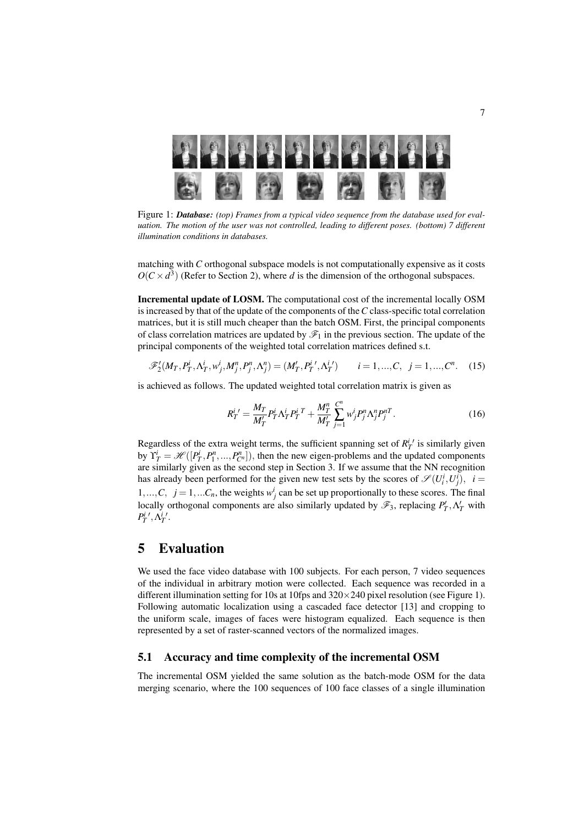

Figure 1: *Database: (top) Frames from a typical video sequence from the database used for evaluation. The motion of the user was not controlled, leading to different poses. (bottom) 7 different illumination conditions in databases.*

matching with *C* orthogonal subspace models is not computationally expensive as it costs  $O(C \times d^3)$  (Refer to Section 2), where *d* is the dimension of the orthogonal subspaces.

Incremental update of LOSM. The computational cost of the incremental locally OSM is increased by that of the update of the components of the*C* class-specific total correlation matrices, but it is still much cheaper than the batch OSM. First, the principal components of class correlation matrices are updated by  $\mathscr{F}_1$  in the previous section. The update of the principal components of the weighted total correlation matrices defined s.t.

$$
\mathscr{F}'_2(M_T, P_T^i, \Lambda_T^i, w_j^i, M_j^n, P_j^n, \Lambda_j^n) = (M'_T, P_T^{i'} , \Lambda_T^{i'}) \qquad i = 1, ..., C, \ \ j = 1, ..., C^n. \tag{15}
$$

is achieved as follows. The updated weighted total correlation matrix is given as

$$
R_T^{i'} = \frac{M_T}{M'_T} P_T^i \Lambda_T^i P_T^{i \ T} + \frac{M_T^n}{M'_T} \sum_{j=1}^{C^n} w_j^i P_j^n \Lambda_j^n P_j^{n \ T}.
$$
 (16)

Regardless of the extra weight terms, the sufficient spanning set of  $R_T^{i'}$  is similarly given by  $\Upsilon_T^i = \mathcal{H}([P_T^i, P_1^n, ..., P_{C^n}^n])$ , then the new eigen-problems and the updated components are similarly given as the second step in Section 3. If we assume that the NN recognition has already been performed for the given new test sets by the scores of  $\mathscr{S}(U_i^i, U_j^i)$ ,  $i =$ 1,...,*C*,  $j = 1, \ldots C_n$ , the weights  $w_j^i$  can be set up proportionally to these scores. The final locally orthogonal components are also similarly updated by  $\mathscr{F}_3$ , replacing  $P'_T, \Lambda'_T$  with  $P_T^{i\;\prime},\Lambda_T^{i\;\prime}.$ 

### 5 Evaluation

We used the face video database with 100 subjects. For each person, 7 video sequences of the individual in arbitrary motion were collected. Each sequence was recorded in a different illumination setting for 10s at 10fps and  $320 \times 240$  pixel resolution (see Figure 1). Following automatic localization using a cascaded face detector [13] and cropping to the uniform scale, images of faces were histogram equalized. Each sequence is then represented by a set of raster-scanned vectors of the normalized images.

#### 5.1 Accuracy and time complexity of the incremental OSM

The incremental OSM yielded the same solution as the batch-mode OSM for the data merging scenario, where the 100 sequences of 100 face classes of a single illumination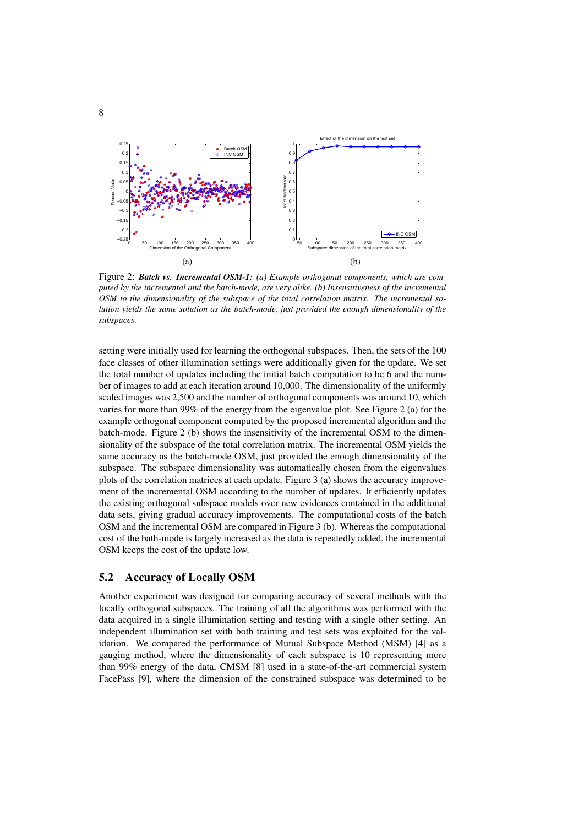

Figure 2: *Batch vs. Incremental OSM-1: (a) Example orthogonal components, which are computed by the incremental and the batch-mode, are very alike. (b) Insensitiveness of the incremental OSM to the dimensionality of the subspace of the total correlation matrix. The incremental solution yields the same solution as the batch-mode, just provided the enough dimensionality of the subspaces.*

setting were initially used for learning the orthogonal subspaces. Then, the sets of the 100 face classes of other illumination settings were additionally given for the update. We set the total number of updates including the initial batch computation to be 6 and the number of images to add at each iteration around 10,000. The dimensionality of the uniformly scaled images was 2,500 and the number of orthogonal components was around 10, which varies for more than 99% of the energy from the eigenvalue plot. See Figure 2 (a) for the example orthogonal component computed by the proposed incremental algorithm and the batch-mode. Figure 2 (b) shows the insensitivity of the incremental OSM to the dimensionality of the subspace of the total correlation matrix. The incremental OSM yields the same accuracy as the batch-mode OSM, just provided the enough dimensionality of the subspace. The subspace dimensionality was automatically chosen from the eigenvalues plots of the correlation matrices at each update. Figure 3 (a) shows the accuracy improvement of the incremental OSM according to the number of updates. It efficiently updates the existing orthogonal subspace models over new evidences contained in the additional data sets, giving gradual accuracy improvements. The computational costs of the batch OSM and the incremental OSM are compared in Figure 3 (b). Whereas the computational cost of the bath-mode is largely increased as the data is repeatedly added, the incremental OSM keeps the cost of the update low.

#### 5.2 Accuracy of Locally OSM

Another experiment was designed for comparing accuracy of several methods with the locally orthogonal subspaces. The training of all the algorithms was performed with the data acquired in a single illumination setting and testing with a single other setting. An independent illumination set with both training and test sets was exploited for the validation. We compared the performance of Mutual Subspace Method (MSM) [4] as a gauging method, where the dimensionality of each subspace is 10 representing more than 99% energy of the data, CMSM [8] used in a state-of-the-art commercial system FacePass [9], where the dimension of the constrained subspace was determined to be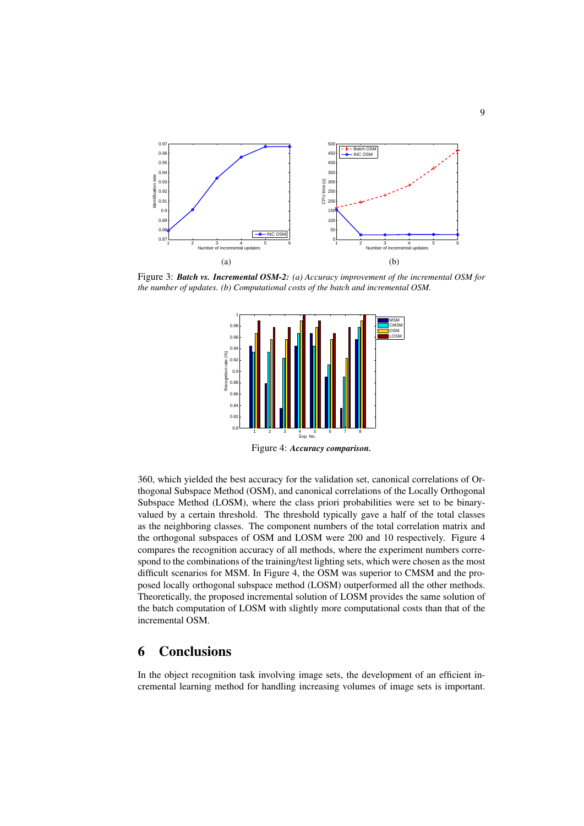

Figure 3: *Batch vs. Incremental OSM-2: (a) Accuracy improvement of the incremental OSM for the number of updates. (b) Computational costs of the batch and incremental OSM.*



360, which yielded the best accuracy for the validation set, canonical correlations of Orthogonal Subspace Method (OSM), and canonical correlations of the Locally Orthogonal Subspace Method (LOSM), where the class priori probabilities were set to be binaryvalued by a certain threshold. The threshold typically gave a half of the total classes as the neighboring classes. The component numbers of the total correlation matrix and the orthogonal subspaces of OSM and LOSM were 200 and 10 respectively. Figure 4 compares the recognition accuracy of all methods, where the experiment numbers correspond to the combinations of the training/test lighting sets, which were chosen as the most difficult scenarios for MSM. In Figure 4, the OSM was superior to CMSM and the proposed locally orthogonal subspace method (LOSM) outperformed all the other methods. Theoretically, the proposed incremental solution of LOSM provides the same solution of the batch computation of LOSM with slightly more computational costs than that of the incremental OSM.

# 6 Conclusions

In the object recognition task involving image sets, the development of an efficient incremental learning method for handling increasing volumes of image sets is important.